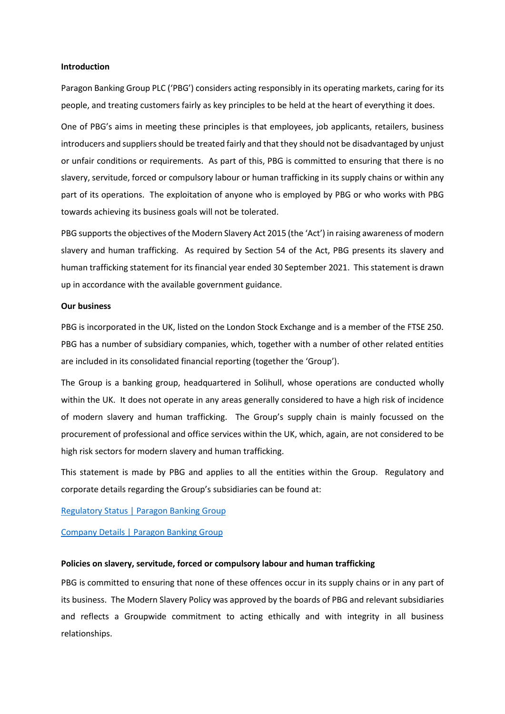#### **Introduction**

Paragon Banking Group PLC ('PBG') considers acting responsibly in its operating markets, caring for its people, and treating customers fairly as key principles to be held at the heart of everything it does.

One of PBG's aims in meeting these principles is that employees, job applicants, retailers, business introducers and suppliers should be treated fairly and that they should not be disadvantaged by unjust or unfair conditions or requirements. As part of this, PBG is committed to ensuring that there is no slavery, servitude, forced or compulsory labour or human trafficking in its supply chains or within any part of its operations. The exploitation of anyone who is employed by PBG or who works with PBG towards achieving its business goals will not be tolerated.

PBG supports the objectives of the Modern Slavery Act 2015 (the 'Act') in raising awareness of modern slavery and human trafficking. As required by Section 54 of the Act, PBG presents its slavery and human trafficking statement for its financial year ended 30 September 2021. This statement is drawn up in accordance with the available government guidance.

## **Our business**

PBG is incorporated in the UK, listed on the London Stock Exchange and is a member of the FTSE 250. PBG has a number of subsidiary companies, which, together with a number of other related entities are included in its consolidated financial reporting (together the 'Group').

The Group is a banking group, headquartered in Solihull, whose operations are conducted wholly within the UK. It does not operate in any areas generally considered to have a high risk of incidence of modern slavery and human trafficking. The Group's supply chain is mainly focussed on the procurement of professional and office services within the UK, which, again, are not considered to be high risk sectors for modern slavery and human trafficking.

This statement is made by PBG and applies to all the entities within the Group. Regulatory and corporate details regarding the Group's subsidiaries can be found at:

[Regulatory Status | Paragon Banking Group](https://www.paragonbankinggroup.co.uk/regulatory-status)

[Company Details | Paragon Banking Group](https://www.paragonbankinggroup.co.uk/company-details)

## **Policies on slavery, servitude, forced or compulsory labour and human trafficking**

PBG is committed to ensuring that none of these offences occur in its supply chains or in any part of its business. The Modern Slavery Policy was approved by the boards of PBG and relevant subsidiaries and reflects a Groupwide commitment to acting ethically and with integrity in all business relationships.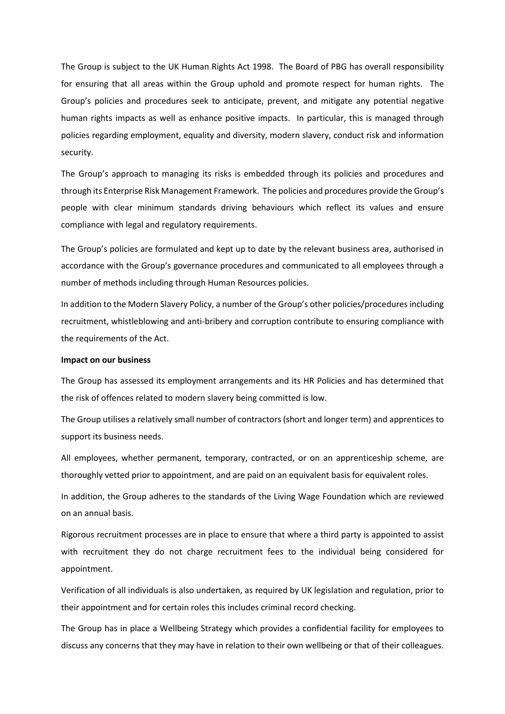The Group is subject to the UK Human Rights Act 1998. The Board of PBG has overall responsibility for ensuring that all areas within the Group uphold and promote respect for human rights. The Group's policies and procedures seek to anticipate, prevent, and mitigate any potential negative human rights impacts as well as enhance positive impacts. In particular, this is managed through policies regarding employment, equality and diversity, modern slavery, conduct risk and information security.

The Group's approach to managing its risks is embedded through its policies and procedures and through its Enterprise Risk Management Framework. The policies and procedures provide the Group's people with clear minimum standards driving behaviours which reflect its values and ensure compliance with legal and regulatory requirements.

The Group's policies are formulated and kept up to date by the relevant business area, authorised in accordance with the Group's governance procedures and communicated to all employees through a number of methods including through Human Resources policies.

In addition to the Modern Slavery Policy, a number of the Group's other policies/procedures including recruitment, whistleblowing and anti-bribery and corruption contribute to ensuring compliance with the requirements of the Act.

# **Impact on our business**

The Group has assessed its employment arrangements and its HR Policies and has determined that the risk of offences related to modern slavery being committed is low.

The Group utilises a relatively small number of contractors (short and longer term) and apprentices to support its business needs.

All employees, whether permanent, temporary, contracted, or on an apprenticeship scheme, are thoroughly vetted prior to appointment, and are paid on an equivalent basis for equivalent roles.

In addition, the Group adheres to the standards of the Living Wage Foundation which are reviewed on an annual basis.

Rigorous recruitment processes are in place to ensure that where a third party is appointed to assist with recruitment they do not charge recruitment fees to the individual being considered for appointment.

Verification of all individuals is also undertaken, as required by UK legislation and regulation, prior to their appointment and for certain roles this includes criminal record checking.

The Group has in place a Wellbeing Strategy which provides a confidential facility for employees to discuss any concerns that they may have in relation to their own wellbeing or that of their colleagues.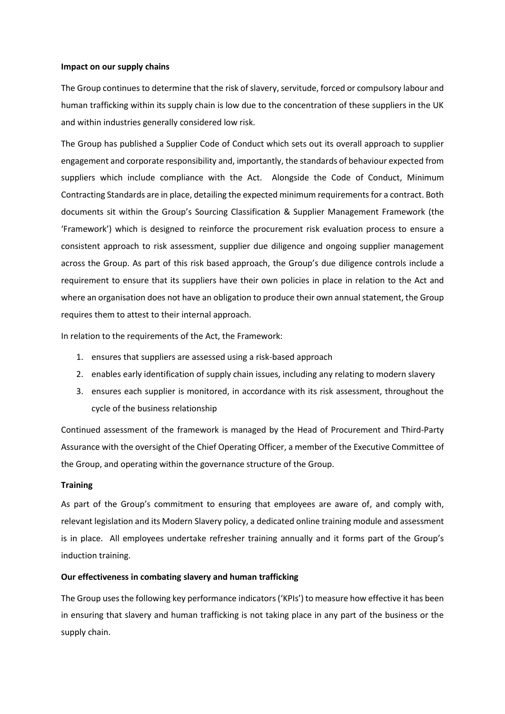## **Impact on our supply chains**

The Group continues to determine that the risk of slavery, servitude, forced or compulsory labour and human trafficking within its supply chain is low due to the concentration of these suppliers in the UK and within industries generally considered low risk.

The Group has published a Supplier Code of Conduct which sets out its overall approach to supplier engagement and corporate responsibility and, importantly, the standards of behaviour expected from suppliers which include compliance with the Act. Alongside the Code of Conduct, Minimum Contracting Standards are in place, detailing the expected minimum requirementsfor a contract. Both documents sit within the Group's Sourcing Classification & Supplier Management Framework (the 'Framework') which is designed to reinforce the procurement risk evaluation process to ensure a consistent approach to risk assessment, supplier due diligence and ongoing supplier management across the Group. As part of this risk based approach, the Group's due diligence controls include a requirement to ensure that its suppliers have their own policies in place in relation to the Act and where an organisation does not have an obligation to produce their own annual statement, the Group requires them to attest to their internal approach.

In relation to the requirements of the Act, the Framework:

- 1. ensures that suppliers are assessed using a risk-based approach
- 2. enables early identification of supply chain issues, including any relating to modern slavery
- 3. ensures each supplier is monitored, in accordance with its risk assessment, throughout the cycle of the business relationship

Continued assessment of the framework is managed by the Head of Procurement and Third-Party Assurance with the oversight of the Chief Operating Officer, a member of the Executive Committee of the Group, and operating within the governance structure of the Group.

## **Training**

As part of the Group's commitment to ensuring that employees are aware of, and comply with, relevant legislation and its Modern Slavery policy, a dedicated online training module and assessment is in place. All employees undertake refresher training annually and it forms part of the Group's induction training.

# **Our effectiveness in combating slavery and human trafficking**

The Group uses the following key performance indicators ('KPIs') to measure how effective it has been in ensuring that slavery and human trafficking is not taking place in any part of the business or the supply chain.